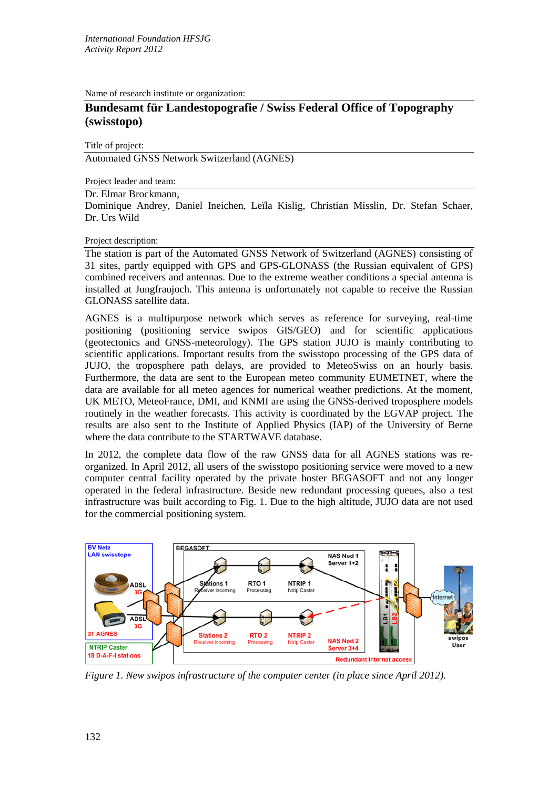Name of research institute or organization:

## **Bundesamt für Landestopografie / Swiss Federal Office of Topography (swisstopo)**

Title of project:

Automated GNSS Network Switzerland (AGNES)

Project leader and team:

Dr. Elmar Brockmann,

Dominique Andrey, Daniel Ineichen, Leïla Kislig, Christian Misslin, Dr. Stefan Schaer, Dr. Urs Wild

## Project description:

The station is part of the Automated GNSS Network of Switzerland (AGNES) consisting of 31 sites, partly equipped with GPS and GPS-GLONASS (the Russian equivalent of GPS) combined receivers and antennas. Due to the extreme weather conditions a special antenna is installed at Jungfraujoch. This antenna is unfortunately not capable to receive the Russian GLONASS satellite data.

AGNES is a multipurpose network which serves as reference for surveying, real-time positioning (positioning service swipos GIS/GEO) and for scientific applications (geotectonics and GNSS-meteorology). The GPS station JUJO is mainly contributing to scientific applications. Important results from the swisstopo processing of the GPS data of JUJO, the troposphere path delays, are provided to MeteoSwiss on an hourly basis. Furthermore, the data are sent to the European meteo community EUMETNET, where the data are available for all meteo agences for numerical weather predictions. At the moment, UK METO, MeteoFrance, DMI, and KNMI are using the GNSS-derived troposphere models routinely in the weather forecasts. This activity is coordinated by the EGVAP project. The results are also sent to the Institute of Applied Physics (IAP) of the University of Berne where the data contribute to the STARTWAVE database.

In 2012, the complete data flow of the raw GNSS data for all AGNES stations was reorganized. In April 2012, all users of the swisstopo positioning service were moved to a new computer central facility operated by the private hoster BEGASOFT and not any longer operated in the federal infrastructure. Beside new redundant processing queues, also a test infrastructure was built according to Fig. 1. Due to the high altitude, JUJO data are not used for the commercial positioning system.



*Figure 1. New swipos infrastructure of the computer center (in place since April 2012).*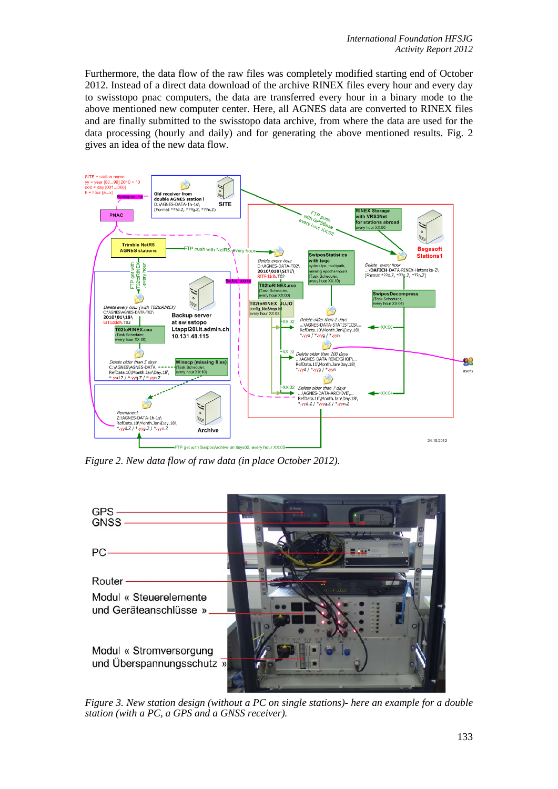Furthermore, the data flow of the raw files was completely modified starting end of October 2012. Instead of a direct data download of the archive RINEX files every hour and every day to swisstopo pnac computers, the data are transferred every hour in a binary mode to the above mentioned new computer center. Here, all AGNES data are converted to RINEX files and are finally submitted to the swisstopo data archive, from where the data are used for the data processing (hourly and daily) and for generating the above mentioned results. Fig. 2 gives an idea of the new data flow.



*Figure 2. New data flow of raw data (in place October 2012).*



*Figure 3. New station design (without a PC on single stations)- here an example for a double station (with a PC, a GPS and a GNSS receiver).*